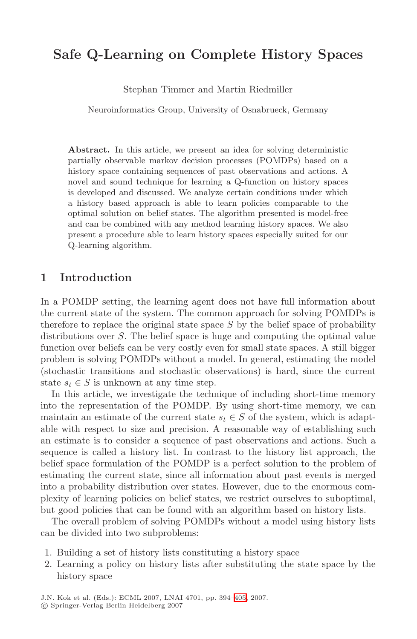# **Safe Q-Learning on Complete History Spaces**

Stephan Timmer and Martin Riedmiller

Neuroinformatics Group, University of Osnabrueck, Germany

**Abstract.** In this article, we present an idea for solving deterministic partially observable markov decision processes (POMDPs) based on a history space containing sequences of past observations and actions. A novel and sound technique for learning a Q-function on history spaces is developed and discussed. We analyze certain conditions under which a history based approach is able to learn policies comparable to the optimal solution on belief states. The algorithm presented is model-free and can be combined with any method learning history spaces. We also present a procedure able to learn history spaces especially suited for our Q-learning algorithm.

## **1 Introduction**

In a POMDP setting, the learning agent does not have full information about the current state of the system. The common approach for solving POMDPs is therefore to replace the original state space  $S$  by the belief space of probability distributions over S. The belief space is huge and computing the optimal value function over beliefs can be very costly even for small state spaces. A still bigger problem is solving POMDPs without a model. In general, estimating the model (stochastic transitions and stochastic observations) is hard, since the current state  $s_t \in S$  is unknown at any time step.

In this article, we investigate the technique of including short-time memory into the representation of the POMDP. By using short-time memory, we can maintain an estimate of the current state  $s_t \in S$  of the system, which is adaptable with respect to size and precision. A reasonable way of establishing such an estimate is to consider a sequence of past observations and actions. Such a sequence is called a history list. In contrast to the history list approach, the belief space formulation of the POMDP is a perfect solution to the problem of estimating the current state, since all information about past events is merged into a probability distribution over states. However, due to the enormous complexity of learning policies on belief states, we restrict ourselves to suboptimal, but good policies that can be found with an algorithm based on history lists.

The overall problem of solving POMDPs without a model using history lists can be divided into two subproblems:

- 1. Building a set of history lists constituting a history space
- 2. Learning a policy on history lists after substituting the state space by the history space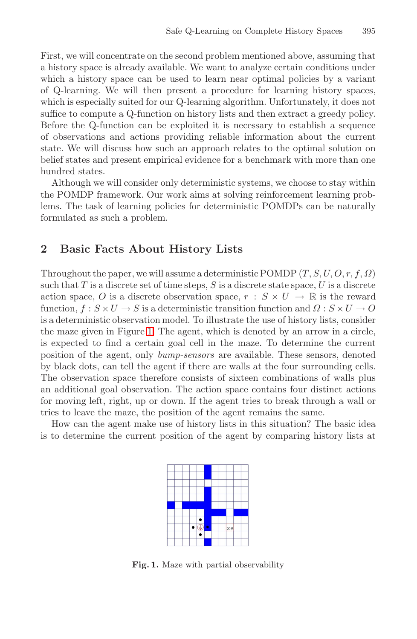First, we will concentrate on the second problem mentioned above, assuming that a history space is already available. We want to analyze certain conditions under which a history space can be used to learn near optimal policies by a variant of Q-learning. We will then present a procedure for learning history spaces, which is especially suited for our Q-learning algorithm. Unfortunately, it does not suffice to compute a Q-function on history lists and then extract a greedy policy. Before the Q-function can be exploited it is necessary to establish a sequence of observations and actions providing reliable information about the current state. We will discuss how such an approach relates to the optimal solution on belief states and present empirical evidence for a benchmark with more than one hundred states.

Although we will consider only deterministic systems, we choose to stay within the POMDP framework. Our work aims at solving reinforcement learning problems. The task of learning policies for deterministic POMDPs can be naturally formulated as such a problem.

## **2 Basic Facts About History Lists**

Throughout the paper, we will assume a deterministic POMDP  $(T, S, U, O, r, f, \Omega)$ such that T is a discrete set of time steps, S is a discrete state space, U is a discrete action space, O is a discrete observation space,  $r : S \times U \to \mathbb{R}$  is the reward function,  $f : S \times U \to S$  is a deterministic transition function and  $\Omega : S \times U \to O$ is a deterministic observation model. To illustrate the use of history lists, consider the maze given in Figure [1.](#page-1-0) The agent, which is denoted by an arrow in a circle, is expected to find a certain goal cell in the maze. To determine the current position of the agent, only bump-sensors are available. These sensors, denoted by black dots, can tell the agent if there are walls at the four surrounding cells. The observation space therefore consists of sixteen combinations of walls plus an additional goal observation. The action space contains four distinct actions for moving left, right, up or down. If the agent tries to break through a wall or tries to leave the maze, the position of the agent remains the same.

How can the agent make use of history lists in this situation? The basic idea is to determine the current position of the agent by comparing history lists at

<span id="page-1-0"></span>

**Fig. 1.** Maze with partial observability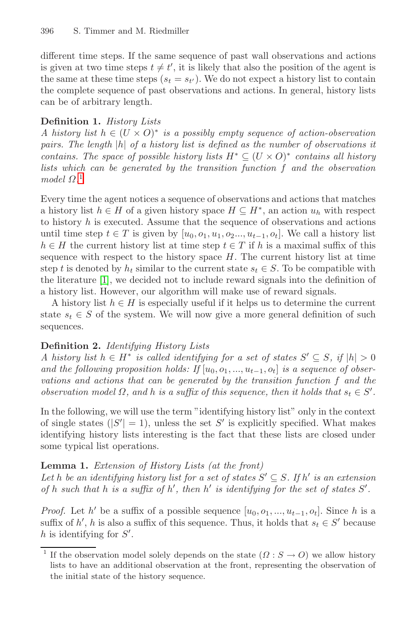different time steps. If the same sequence of past wall observations and actions is given at two time steps  $t \neq t'$ , it is likely that also the position of the agent is the same at these time steps  $(s_t = s_{t'})$ . We do not expect a history list to contain the complete sequence of past observations and actions. In general, history lists can be of arbitrary length.

## **Definition 1.** History Lists

A history list  $h \in (U \times O)^*$  is a possibly empty sequence of action-observation pairs. The length  $|h|$  of a history list is defined as the number of observations it contains. The space of possible history lists  $H^* \subseteq (U \times O)^*$  contains all history lists which can be generated by the transition function f and the observation model  $\Omega$ .<sup>[1](#page-2-0)</sup>

Every time the agent notices a sequence of observations and actions that matches a history list  $h \in H$  of a given history space  $H \subseteq H^*$ , an action  $u_h$  with respect to history  $h$  is executed. Assume that the sequence of observations and actions until time step  $t \in T$  is given by  $[u_0, o_1, u_1, o_2, \ldots, u_{t-1}, o_t]$ . We call a history list  $h \in H$  the current history list at time step  $t \in T$  if h is a maximal suffix of this sequence with respect to the history space  $H$ . The current history list at time step t is denoted by  $h_t$  similar to the current state  $s_t \in S$ . To be compatible with the literature [\[1\]](#page-11-1), we decided not to include reward signals into the definition of a history list. However, our algorithm will make use of reward signals.

A history list  $h \in H$  is especially useful if it helps us to determine the current state  $s_t \in S$  of the system. We will now give a more general definition of such sequences.

## **Definition 2.** Identifying History Lists

A history list  $h \in H^*$  is called identifying for a set of states  $S' \subseteq S$ , if  $|h| > 0$ and the following proposition holds: If  $[u_0, o_1, ..., u_{t-1}, o_t]$  is a sequence of observations and actions that can be generated by the transition function f and the observation model  $\Omega$ , and h is a suffix of this sequence, then it holds that  $s_t \in S'$ .

In the following, we will use the term "identifying history list" only in the context of single states  $(|S'| = 1)$ , unless the set S' is explicitly specified. What makes identifying history lists interesting is the fact that these lists are closed under some typical list operations.

#### **Lemma 1.** Extension of History Lists (at the front)

Let h be an identifying history list for a set of states  $S' \subseteq S$ . If h' is an extension of h such that h is a suffix of h', then h' is identifying for the set of states  $S'$ .

*Proof.* Let h' be a suffix of a possible sequence  $[u_0, o_1, ..., u_{t-1}, o_t]$ . Since h is a suffix of  $h'$ , h is also a suffix of this sequence. Thus, it holds that  $s_t \in S'$  because h is identifying for  $S'$ .

<span id="page-2-0"></span>If the observation model solely depends on the state  $(\Omega : S \to O)$  we allow history lists to have an additional observation at the front, representing the observation of the initial state of the history sequence.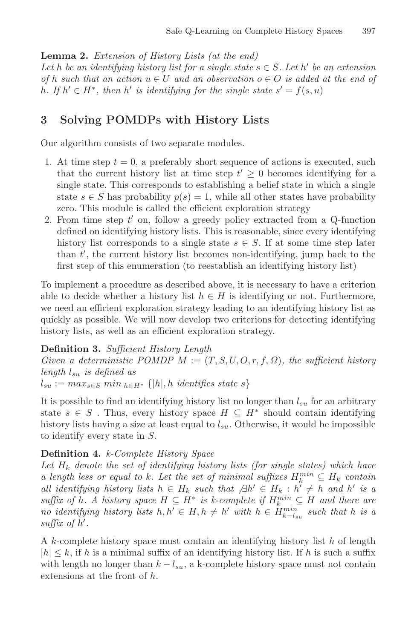**Lemma 2.** Extension of History Lists (at the end)

Let h be an identifying history list for a single state  $s \in S$ . Let h' be an extension of h such that an action  $u \in U$  and an observation  $o \in O$  is added at the end of h. If  $h' \in H^*$ , then h' is identifying for the single state  $s' = f(s, u)$ 

## **3 Solving POMDPs with History Lists**

Our algorithm consists of two separate modules.

- 1. At time step  $t = 0$ , a preferably short sequence of actions is executed, such that the current history list at time step  $t' \geq 0$  becomes identifying for a single state. This corresponds to establishing a belief state in which a single state  $s \in S$  has probability  $p(s) = 1$ , while all other states have probability zero. This module is called the efficient exploration strategy
- 2. From time step  $t'$  on, follow a greedy policy extracted from a Q-function defined on identifying history lists. This is reasonable, since every identifying history list corresponds to a single state  $s \in S$ . If at some time step later than  $t'$ , the current history list becomes non-identifying, jump back to the first step of this enumeration (to reestablish an identifying history list)

To implement a procedure as described above, it is necessary to have a criterion able to decide whether a history list  $h \in H$  is identifying or not. Furthermore, we need an efficient exploration strategy leading to an identifying history list as quickly as possible. We will now develop two criterions for detecting identifying history lists, as well as an efficient exploration strategy.

**Definition 3.** Sufficient History Length Given a deterministic POMDP  $M := (T, S, U, O, r, f, \Omega)$ , the sufficient history length  $l_{su}$  is defined as  $l_{su} := max_{s \in S} min_{h \in H^*} \{ |h|, h \text{ identifies state } s \}$ 

It is possible to find an identifying history list no longer than  $l_{su}$  for an arbitrary state  $s \in S$ . Thus, every history space  $H \subseteq H^*$  should contain identifying history lists having a size at least equal to  $l_{su}$ . Otherwise, it would be impossible to identify every state in S.

#### **Definition 4.** k-Complete History Space

Let  $H_k$  denote the set of identifying history lists (for single states) which have a length less or equal to k. Let the set of minimal suffixes  $H_k^{min} \subseteq H_k$  contain all identifying history lists  $h \in H_k$  such that  $\exists h' \in H_k : h' \neq h$  and h' is a suffix of h. A history space  $H \subseteq H^*$  is k-complete if  $H_k^{min} \subseteq H$  and there are no identifying history lists  $h, h' \in H, h \neq h'$  with  $h \in H_{k-l_{su}}^{min}$  such that h is a suffix of  $h'$ .

A k-complete history space must contain an identifying history list h of length  $|h| \leq k$ , if h is a minimal suffix of an identifying history list. If h is such a suffix with length no longer than  $k - l_{su}$ , a k-complete history space must not contain extensions at the front of h.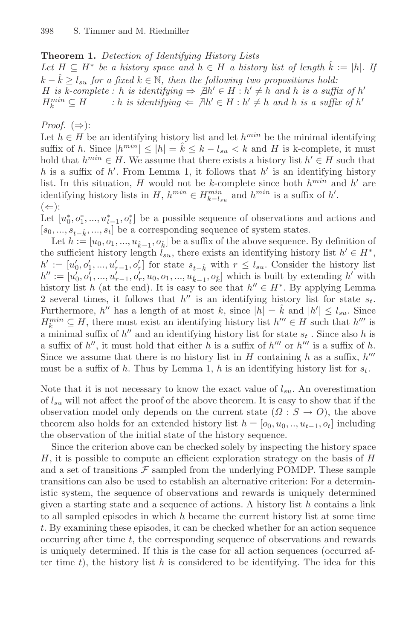#### **Theorem 1.** Detection of Identifying History Lists

Let  $H \subseteq H^*$  be a history space and  $h \in H$  a history list of length  $\hat{k} := |h|$ . If  $k - \hat{k} \ge l_{su}$  for a fixed  $k \in \mathbb{N}$ , then the following two propositions hold: H is k-complete : h is identifying  $\Rightarrow \exists h' \in H : h' \neq h$  and h is a suffix of h'  $H_k^{min} \subseteq H$ : h is identifying  $\Leftrightarrow$   $\exists h' \in H : h' \neq h$  and h is a suffix of h'

#### *Proof.*  $(\Rightarrow)$ :

Let  $h \in H$  be an identifying history list and let  $h^{min}$  be the minimal identifying suffix of h. Since  $|h^{min}| \leq |h| = \hat{k} \leq k - l_{su} < k$  and H is k-complete, it must hold that  $h^{min} \in H$ . We assume that there exists a history list  $h' \in H$  such that h is a suffix of h'. From Lemma 1, it follows that  $h'$  is an identifying history list. In this situation, H would not be k-complete since both  $h^{min}$  and h' are identifying history lists in  $H$ ,  $h^{min} \in H^{min}_{k-l_{su}}$  and  $h^{min}$  is a suffix of  $h'$ .  $(\Leftarrow)$ :

Let  $[u_0^*, o_1^*, ..., u_{t-1}^*, o_t^*]$  be a possible sequence of observations and actions and  $[s_0, ..., s_{t-\hat{k}}, ..., s_t]$  be a corresponding sequence of system states.

Let  $h := [u_0, o_1, ..., u_{k-1}, o_k]$  be a suffix of the above sequence. By definition of the sufficient history length  $l_{su}$ , there exists an identifying history list  $h' \in H^*$ ,  $h' := [u'_0, o'_1, ..., u'_{r-1}, o'_r]$  for state  $s_{t-\hat{k}}$  with  $r \leq l_{su}$ . Consider the history list  $h'' := [u'_0, o'_1, ..., u'_{r-1}, o'_r, u_0, o_1, ..., u_{k-1}, o_k]$  which is built by extending h' with history list h (at the end). It is easy to see that  $h'' \in H^*$ . By applying Lemma 2 several times, it follows that  $h''$  is an identifying history list for state  $s_t$ . Furthermore,  $h''$  has a length of at most k, since  $|h| = \hat{k}$  and  $|h'| \leq l_{su}$ . Since  $H_k^{min} \subseteq H$ , there must exist an identifying history list  $h''' \in H$  such that  $h'''$  is a minimal suffix of  $h''$  and an identifying history list for state  $s_t$ . Since also h is a suffix of  $h''$ , it must hold that either h is a suffix of  $h'''$  or  $h'''$  is a suffix of h. Since we assume that there is no history list in H containing h as a suffix,  $h'''$ must be a suffix of h. Thus by Lemma 1, h is an identifying history list for  $s_t$ .

Note that it is not necessary to know the exact value of  $l_{su}$ . An overestimation of  $l_{su}$  will not affect the proof of the above theorem. It is easy to show that if the observation model only depends on the current state  $(\Omega : S \to O)$ , the above theorem also holds for an extended history list  $h = [o_0, u_0, \ldots, u_{t-1}, o_t]$  including the observation of the initial state of the history sequence.

Since the criterion above can be checked solely by inspecting the history space  $H$ , it is possible to compute an efficient exploration strategy on the basis of  $H$ and a set of transitions  $\mathcal F$  sampled from the underlying POMDP. These sample transitions can also be used to establish an alternative criterion: For a deterministic system, the sequence of observations and rewards is uniquely determined given a starting state and a sequence of actions. A history list  $h$  contains a link to all sampled episodes in which  $h$  became the current history list at some time t. By examining these episodes, it can be checked whether for an action sequence occurring after time  $t$ , the corresponding sequence of observations and rewards is uniquely determined. If this is the case for all action sequences (occurred after time t, the history list h is considered to be identifying. The idea for this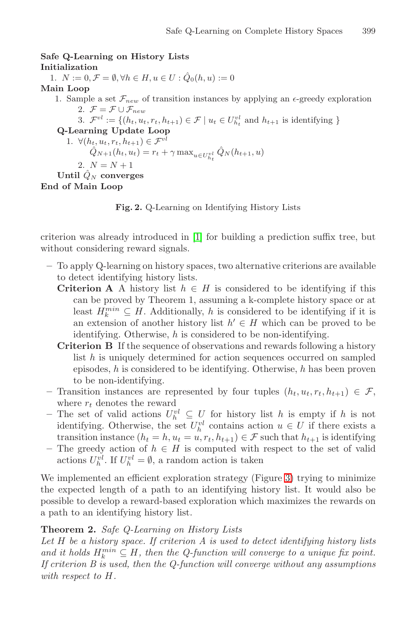### **Safe Q-Learning on History Lists Initialization** 1.  $N := 0, \mathcal{F} = \emptyset, \forall h \in H, u \in U : \hat{Q}_0(h, u) := 0$ **Main Loop** 1. Sample a set  $\mathcal{F}_{new}$  of transition instances by applying an  $\epsilon$ -greedy exploration 2.  $\mathcal{F} = \mathcal{F} \cup \mathcal{F}_{new}$ 3.  $\mathcal{F}^{vl} := \{(h_t, u_t, r_t, h_{t+1}) \in \mathcal{F} \mid u_t \in U_{h_t}^{vl} \text{ and } h_{t+1} \text{ is identifying }\}$ **Q-Learning Update Loop** 1.  $\forall (h_t, u_t, r_t, h_{t+1}) \in \mathcal{F}^{vl}$  $\hat{Q}_{N+1}(h_t, u_t) = r_t + \gamma \max_{u \in U_{h_t}^{v_l}} \hat{Q}_N(h_{t+1}, u)$

2.  $N = N + 1$ Until  $\hat{Q}_N$  converges

**End of Main Loop**

**Fig. 2.** Q-Learning on Identifying History Lists

criterion was already introduced in [\[1\]](#page-11-1) for building a prediction suffix tree, but without considering reward signals.

- **–** To apply Q-learning on history spaces, two alternative criterions are available to detect identifying history lists.
	- **Criterion A** A history list  $h \in H$  is considered to be identifying if this can be proved by Theorem 1, assuming a k-complete history space or at least  $H_k^{min} \subseteq H$ . Additionally, h is considered to be identifying if it is an extension of another history list  $h' \in H$  which can be proved to be identifying. Otherwise, h is considered to be non-identifying.
	- **Criterion B** If the sequence of observations and rewards following a history list  $h$  is uniquely determined for action sequences occurred on sampled episodes,  $h$  is considered to be identifying. Otherwise,  $h$  has been proven to be non-identifying.
- Transition instances are represented by four tuples  $(h_t, u_t, r_t, h_{t+1}) \in \mathcal{F}$ , where  $r_t$  denotes the reward
- **−** The set of valid actions  $U_h^{vl} ⊆ U$  for history list h is empty if h is not identifying. Otherwise, the set  $U_h^{vl}$  contains action  $u \in U$  if there exists a transition instance  $(h_t = h, u_t = u, r_t, h_{t+1}) \in \mathcal{F}$  such that  $h_{t+1}$  is identifying
- The greedy action of  $h \in H$  is computed with respect to the set of valid actions  $U_h^{vl}$ . If  $U_h^{vl} = \emptyset$ , a random action is taken

We implemented an efficient exploration strategy (Figure [3\)](#page-6-0) trying to minimize the expected length of a path to an identifying history list. It would also be possible to develop a reward-based exploration which maximizes the rewards on a path to an identifying history list.

#### **Theorem 2.** Safe Q-Learning on History Lists

Let  $H$  be a history space. If criterion  $A$  is used to detect identifying history lists and it holds  $H_k^{min} \subseteq H$ , then the Q-function will converge to a unique fix point. If criterion  $B$  is used, then the Q-function will converge without any assumptions with respect to H.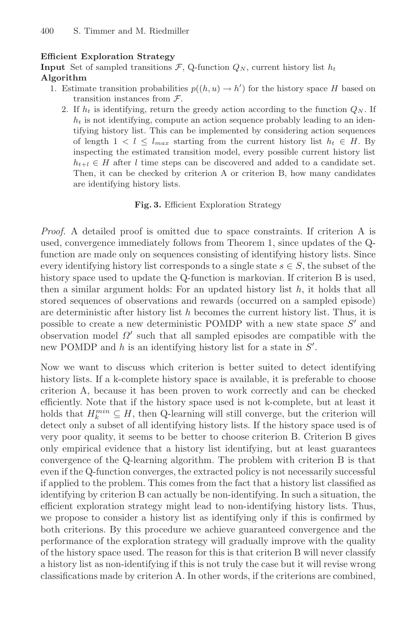#### **Efficient Exploration Strategy**

**Input** Set of sampled transitions  $\mathcal{F}$ , Q-function  $Q_N$ , current history list  $h_t$ **Algorithm**

- 1. Estimate transition probabilities  $p((h, u) \to h')$  for the history space H based on transition instances from F.
	- 2. If  $h_t$  is identifying, return the greedy action according to the function  $Q_N$ . If  $h_t$  is not identifying, compute an action sequence probably leading to an identifying history list. This can be implemented by considering action sequences of length  $1 < l \leq l_{max}$  starting from the current history list  $h_t \in H$ . By inspecting the estimated transition model, every possible current history list  $h_{t+l} \in H$  after l time steps can be discovered and added to a candidate set. Then, it can be checked by criterion A or criterion B, how many candidates are identifying history lists.

#### <span id="page-6-0"></span>**Fig. 3.** Efficient Exploration Strategy

Proof. A detailed proof is omitted due to space constraints. If criterion A is used, convergence immediately follows from Theorem 1, since updates of the Qfunction are made only on sequences consisting of identifying history lists. Since every identifying history list corresponds to a single state  $s \in S$ , the subset of the history space used to update the Q-function is markovian. If criterion B is used, then a similar argument holds: For an updated history list  $h$ , it holds that all stored sequences of observations and rewards (occurred on a sampled episode) are deterministic after history list  $h$  becomes the current history list. Thus, it is possible to create a new deterministic POMDP with a new state space  $S'$  and observation model  $\Omega'$  such that all sampled episodes are compatible with the new POMDP and  $h$  is an identifying history list for a state in  $S'$ .

Now we want to discuss which criterion is better suited to detect identifying history lists. If a k-complete history space is available, it is preferable to choose criterion A, because it has been proven to work correctly and can be checked efficiently. Note that if the history space used is not k-complete, but at least it holds that  $H_k^{min} \subseteq H$ , then Q-learning will still converge, but the criterion will detect only a subset of all identifying history lists. If the history space used is of very poor quality, it seems to be better to choose criterion B. Criterion B gives only empirical evidence that a history list identifying, but at least guarantees convergence of the Q-learning algorithm. The problem with criterion B is that even if the Q-function converges, the extracted policy is not necessarily successful if applied to the problem. This comes from the fact that a history list classified as identifying by criterion B can actually be non-identifying. In such a situation, the efficient exploration strategy might lead to non-identifying history lists. Thus, we propose to consider a history list as identifying only if this is confirmed by both criterions. By this procedure we achieve guaranteed convergence and the performance of the exploration strategy will gradually improve with the quality of the history space used. The reason for this is that criterion B will never classify a history list as non-identifying if this is not truly the case but it will revise wrong classifications made by criterion A. In other words, if the criterions are combined,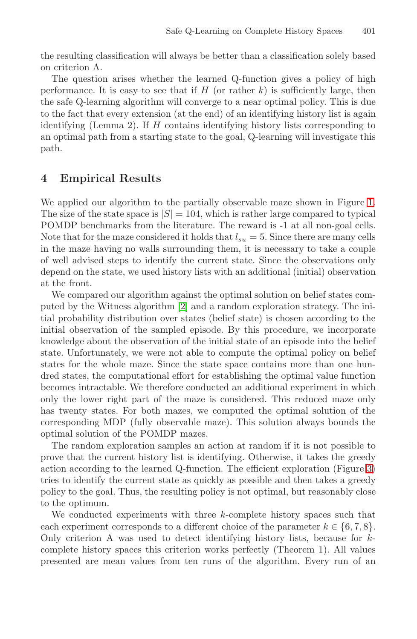the resulting classification will always be better than a classification solely based on criterion A.

The question arises whether the learned Q-function gives a policy of high performance. It is easy to see that if  $H$  (or rather k) is sufficiently large, then the safe Q-learning algorithm will converge to a near optimal policy. This is due to the fact that every extension (at the end) of an identifying history list is again identifying (Lemma 2). If  $H$  contains identifying history lists corresponding to an optimal path from a starting state to the goal, Q-learning will investigate this path.

## **4 Empirical Results**

We applied our algorithm to the partially observable maze shown in Figure [1.](#page-1-0) The size of the state space is  $|S| = 104$ , which is rather large compared to typical POMDP benchmarks from the literature. The reward is -1 at all non-goal cells. Note that for the maze considered it holds that  $l_{su} = 5$ . Since there are many cells in the maze having no walls surrounding them, it is necessary to take a couple of well advised steps to identify the current state. Since the observations only depend on the state, we used history lists with an additional (initial) observation at the front.

We compared our algorithm against the optimal solution on belief states computed by the Witness algorithm [\[2\]](#page-11-2) and a random exploration strategy. The initial probability distribution over states (belief state) is chosen according to the initial observation of the sampled episode. By this procedure, we incorporate knowledge about the observation of the initial state of an episode into the belief state. Unfortunately, we were not able to compute the optimal policy on belief states for the whole maze. Since the state space contains more than one hundred states, the computational effort for establishing the optimal value function becomes intractable. We therefore conducted an additional experiment in which only the lower right part of the maze is considered. This reduced maze only has twenty states. For both mazes, we computed the optimal solution of the corresponding MDP (fully observable maze). This solution always bounds the optimal solution of the POMDP mazes.

The random exploration samples an action at random if it is not possible to prove that the current history list is identifying. Otherwise, it takes the greedy action according to the learned Q-function. The efficient exploration (Figure [3\)](#page-6-0) tries to identify the current state as quickly as possible and then takes a greedy policy to the goal. Thus, the resulting policy is not optimal, but reasonably close to the optimum.

We conducted experiments with three  $k$ -complete history spaces such that each experiment corresponds to a different choice of the parameter  $k \in \{6, 7, 8\}.$ Only criterion A was used to detect identifying history lists, because for  $k$ complete history spaces this criterion works perfectly (Theorem 1). All values presented are mean values from ten runs of the algorithm. Every run of an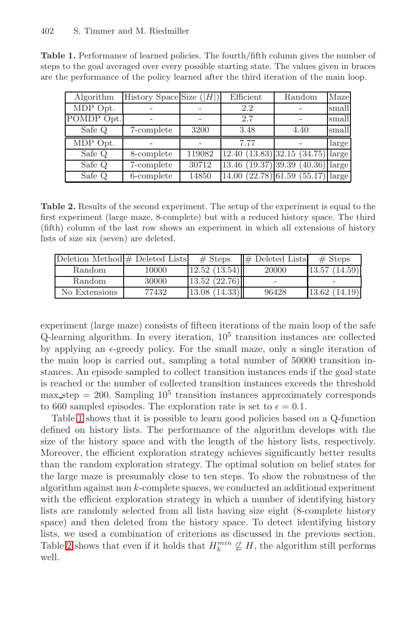<span id="page-8-0"></span>**Table 1.** Performance of learned policies. The fourth/fifth column gives the number of steps to the goal averaged over every possible starting state. The values given in braces are the performance of the policy learned after the third iteration of the main loop.

| Algorithm  | History Space Size $( H )$ |        | Efficient                                       | Random                                  | Maze  |
|------------|----------------------------|--------|-------------------------------------------------|-----------------------------------------|-------|
| MDP Opt.   |                            |        | 2.2                                             |                                         | small |
| POMDP Opt. |                            |        | 2.7                                             |                                         | small |
| Safe Q     | 7-complete                 | 3200   | 3.48                                            | 4.40                                    | small |
| MDP Opt.   |                            |        | 7.77                                            |                                         | large |
| Safe Q     | 8-complete                 | 119082 | $(12.40)(13.83)(32.15)(34.75)(\text{large})$    |                                         |       |
| Safe Q     | 7-complete                 | 30712  | $(13.46 (19.37)   39.39 (40.36)   \text{large}$ |                                         |       |
| Safe Q     | 6-complete                 | 14850  |                                                 | $14.00$ $(22.78)$ 61.59 $(55.17)$ large |       |

<span id="page-8-1"></span>**Table 2.** Results of the second experiment. The setup of the experiment is equal to the first experiment (large maze, 8-complete) but with a reduced history space. The third (fifth) column of the last row shows an experiment in which all extensions of history lists of size six (seven) are deleted.

| Deletion Method $#$ Deleted Lists |       | $#$ Steps    | $\parallel \#$ Deleted Lists | $#$ Steps           |
|-----------------------------------|-------|--------------|------------------------------|---------------------|
| Random                            | 10000 | 12.52(13.54) | 20000                        | $ 13.57 \t(14.59) $ |
| Random                            | 30000 | 13.52(22.76) |                              |                     |
| No Extensions                     | 77432 | 13.08(14.33) | 96428                        | 13.62(14.19)        |

experiment (large maze) consists of fifteen iterations of the main loop of the safe  $Q$ -learning algorithm. In every iteration,  $10<sup>5</sup>$  transition instances are collected by applying an  $\epsilon$ -greedy policy. For the small maze, only a single iteration of the main loop is carried out, sampling a total number of 50000 transition instances. An episode sampled to collect transition instances ends if the goal state is reached or the number of collected transition instances exceeds the threshold max step  $= 200$ . Sampling  $10<sup>5</sup>$  transition instances approximately corresponds to 660 sampled episodes. The exploration rate is set to  $\epsilon = 0.1$ .

Table [1](#page-8-0) shows that it is possible to learn good policies based on a Q-function defined on history lists. The performance of the algorithm develops with the size of the history space and with the length of the history lists, respectively. Moreover, the efficient exploration strategy achieves significantly better results than the random exploration strategy. The optimal solution on belief states for the large maze is presumably close to ten steps. To show the robustness of the algorithm against non k-complete spaces, we conducted an additional experiment with the efficient exploration strategy in which a number of identifying history lists are randomly selected from all lists having size eight (8-complete history space) and then deleted from the history space. To detect identifying history lists, we used a combination of criterions as discussed in the previous section. Table [2](#page-8-1) shows that even if it holds that  $H_k^{min} \nsubseteq H$ , the algorithm still performs well.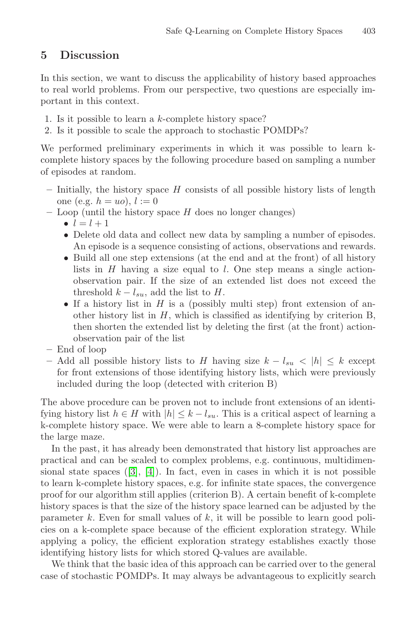## **5 Discussion**

In this section, we want to discuss the applicability of history based approaches to real world problems. From our perspective, two questions are especially important in this context.

- 1. Is it possible to learn a k-complete history space?
- 2. Is it possible to scale the approach to stochastic POMDPs?

We performed preliminary experiments in which it was possible to learn kcomplete history spaces by the following procedure based on sampling a number of episodes at random.

- **–** Initially, the history space H consists of all possible history lists of length one (e.g.  $h = u\omega$ ),  $l := 0$
- **–** Loop (until the history space H does no longer changes)
	- $l = l + 1$
	- Delete old data and collect new data by sampling a number of episodes. An episode is a sequence consisting of actions, observations and rewards.
	- Build all one step extensions (at the end and at the front) of all history lists in  $H$  having a size equal to l. One step means a single actionobservation pair. If the size of an extended list does not exceed the threshold  $k - l_{su}$ , add the list to H.
	- If a history list in H is a (possibly multi step) front extension of another history list in  $H$ , which is classified as identifying by criterion B, then shorten the extended list by deleting the first (at the front) actionobservation pair of the list
- **–** End of loop
- **–** Add all possible history lists to H having size  $k l_{su}$  < |h| ≤ k except for front extensions of those identifying history lists, which were previously included during the loop (detected with criterion B)

The above procedure can be proven not to include front extensions of an identifying history list  $h \in H$  with  $|h| \leq k - l_{su}$ . This is a critical aspect of learning a k-complete history space. We were able to learn a 8-complete history space for the large maze.

In the past, it has already been demonstrated that history list approaches are practical and can be scaled to complex problems, e.g. continuous, multidimensional state spaces  $([3], [4])$  $([3], [4])$  $([3], [4])$  $([3], [4])$  $([3], [4])$ . In fact, even in cases in which it is not possible to learn k-complete history spaces, e.g. for infinite state spaces, the convergence proof for our algorithm still applies (criterion B). A certain benefit of k-complete history spaces is that the size of the history space learned can be adjusted by the parameter k. Even for small values of  $k$ , it will be possible to learn good policies on a k-complete space because of the efficient exploration strategy. While applying a policy, the efficient exploration strategy establishes exactly those identifying history lists for which stored Q-values are available.

We think that the basic idea of this approach can be carried over to the general case of stochastic POMDPs. It may always be advantageous to explicitly search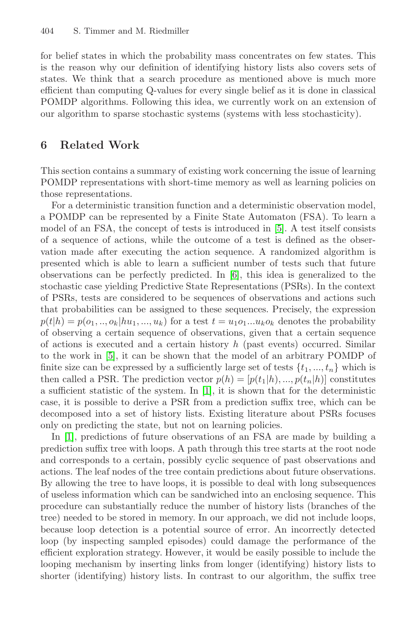for belief states in which the probability mass concentrates on few states. This is the reason why our definition of identifying history lists also covers sets of states. We think that a search procedure as mentioned above is much more efficient than computing Q-values for every single belief as it is done in classical POMDP algorithms. Following this idea, we currently work on an extension of our algorithm to sparse stochastic systems (systems with less stochasticity).

## **6 Related Work**

This section contains a summary of existing work concerning the issue of learning POMDP representations with short-time memory as well as learning policies on those representations.

For a deterministic transition function and a deterministic observation model, a POMDP can be represented by a Finite State Automaton (FSA). To learn a model of an FSA, the concept of tests is introduced in [\[5\]](#page-11-5). A test itself consists of a sequence of actions, while the outcome of a test is defined as the observation made after executing the action sequence. A randomized algorithm is presented which is able to learn a sufficient number of tests such that future observations can be perfectly predicted. In [\[6\]](#page-11-6), this idea is generalized to the stochastic case yielding Predictive State Representations (PSRs). In the context of PSRs, tests are considered to be sequences of observations and actions such that probabilities can be assigned to these sequences. Precisely, the expression  $p(t|h) = p(o_1, \ldots, o_k | hu_1, \ldots, u_k)$  for a test  $t = u_1 o_1 \ldots u_k o_k$  denotes the probability of observing a certain sequence of observations, given that a certain sequence of actions is executed and a certain history  $h$  (past events) occurred. Similar to the work in [\[5\]](#page-11-5), it can be shown that the model of an arbitrary POMDP of finite size can be expressed by a sufficiently large set of tests  $\{t_1, ..., t_n\}$  which is then called a PSR. The prediction vector  $p(h)=[p(t_1|h),..., p(t_n|h)]$  constitutes a sufficient statistic of the system. In  $[1]$ , it is shown that for the deterministic case, it is possible to derive a PSR from a prediction suffix tree, which can be decomposed into a set of history lists. Existing literature about PSRs focuses only on predicting the state, but not on learning policies.

In [\[1\]](#page-11-1), predictions of future observations of an FSA are made by building a prediction suffix tree with loops. A path through this tree starts at the root node and corresponds to a certain, possibly cyclic sequence of past observations and actions. The leaf nodes of the tree contain predictions about future observations. By allowing the tree to have loops, it is possible to deal with long subsequences of useless information which can be sandwiched into an enclosing sequence. This procedure can substantially reduce the number of history lists (branches of the tree) needed to be stored in memory. In our approach, we did not include loops, because loop detection is a potential source of error. An incorrectly detected loop (by inspecting sampled episodes) could damage the performance of the efficient exploration strategy. However, it would be easily possible to include the looping mechanism by inserting links from longer (identifying) history lists to shorter (identifying) history lists. In contrast to our algorithm, the suffix tree